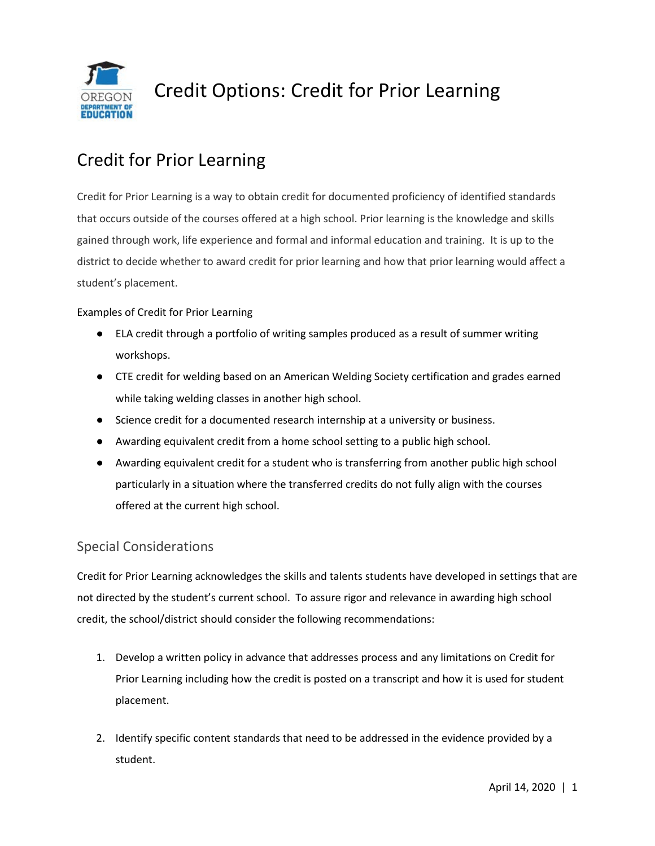

# Credit Options: Credit for Prior Learning

## Credit for Prior Learning

Credit for Prior Learning is a way to obtain credit for documented proficiency of identified standards that occurs outside of the courses offered at a high school. Prior learning is the knowledge and skills gained through work, life experience and formal and informal education and training. It is up to the district to decide whether to award credit for prior learning and how that prior learning would affect a student's placement.

#### Examples of Credit for Prior Learning

- ELA credit through a portfolio of writing samples produced as a result of summer writing workshops.
- CTE credit for welding based on an American Welding Society certification and grades earned while taking welding classes in another high school.
- Science credit for a documented research internship at a university or business.
- Awarding equivalent credit from a home school setting to a public high school.
- Awarding equivalent credit for a student who is transferring from another public high school particularly in a situation where the transferred credits do not fully align with the courses offered at the current high school.

### Special Considerations

Credit for Prior Learning acknowledges the skills and talents students have developed in settings that are not directed by the student's current school. To assure rigor and relevance in awarding high school credit, the school/district should consider the following recommendations:

- 1. Develop a written policy in advance that addresses process and any limitations on Credit for Prior Learning including how the credit is posted on a transcript and how it is used for student placement.
- 2. Identify specific content standards that need to be addressed in the evidence provided by a student.